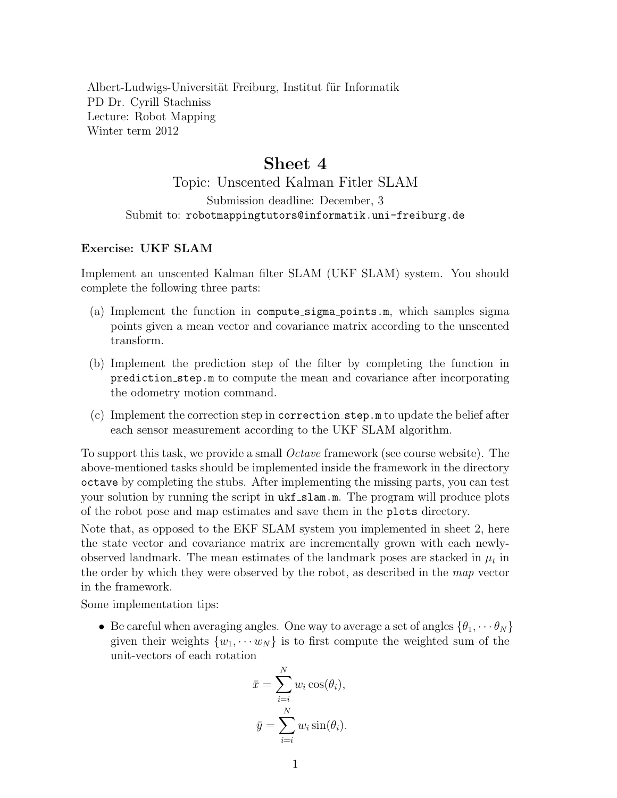Albert-Ludwigs-Universität Freiburg, Institut für Informatik PD Dr. Cyrill Stachniss Lecture: Robot Mapping Winter term 2012

## Sheet 4

## Topic: Unscented Kalman Fitler SLAM Submission deadline: December, 3 Submit to: robotmappingtutors@informatik.uni-freiburg.de

## Exercise: UKF SLAM

Implement an unscented Kalman filter SLAM (UKF SLAM) system. You should complete the following three parts:

- (a) Implement the function in compute sigma points.m, which samples sigma points given a mean vector and covariance matrix according to the unscented transform.
- (b) Implement the prediction step of the filter by completing the function in prediction step.m to compute the mean and covariance after incorporating the odometry motion command.
- (c) Implement the correction step in correction step.m to update the belief after each sensor measurement according to the UKF SLAM algorithm.

To support this task, we provide a small *Octave* framework (see course website). The above-mentioned tasks should be implemented inside the framework in the directory octave by completing the stubs. After implementing the missing parts, you can test your solution by running the script in  $ukf\_slam.m.$  The program will produce plots of the robot pose and map estimates and save them in the plots directory.

Note that, as opposed to the EKF SLAM system you implemented in sheet 2, here the state vector and covariance matrix are incrementally grown with each newlyobserved landmark. The mean estimates of the landmark poses are stacked in  $\mu_t$  in the order by which they were observed by the robot, as described in the *map* vector in the framework.

Some implementation tips:

• Be careful when averaging angles. One way to average a set of angles  $\{\theta_1, \dots, \theta_N\}$ given their weights  $\{w_1, \cdots w_N\}$  is to first compute the weighted sum of the unit-vectors of each rotation

$$
\bar{x} = \sum_{i=i}^{N} w_i \cos(\theta_i),
$$
  

$$
\bar{y} = \sum_{i=i}^{N} w_i \sin(\theta_i).
$$